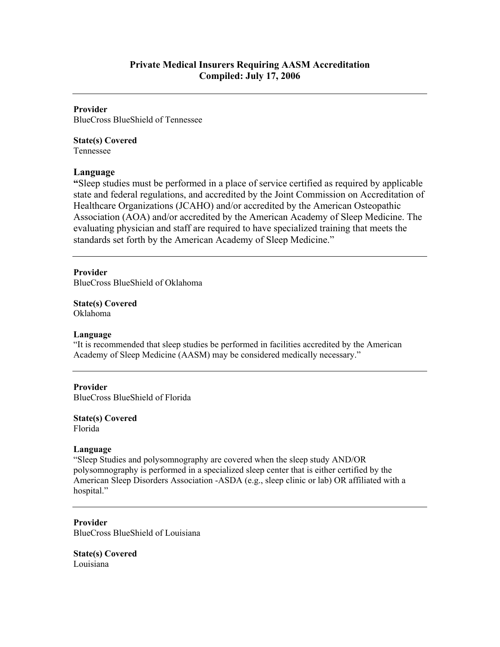#### **Provider**

BlueCross BlueShield of Tennessee

# **State(s) Covered**

Tennessee

# **Language**

**"**Sleep studies must be performed in a place of service certified as required by applicable state and federal regulations, and accredited by the Joint Commission on Accreditation of Healthcare Organizations (JCAHO) and/or accredited by the American Osteopathic Association (AOA) and/or accredited by the American Academy of Sleep Medicine. The evaluating physician and staff are required to have specialized training that meets the standards set forth by the American Academy of Sleep Medicine."

## **Provider**

BlueCross BlueShield of Oklahoma

**State(s) Covered**  Oklahoma

## **Language**

"It is recommended that sleep studies be performed in facilities accredited by the American Academy of Sleep Medicine (AASM) may be considered medically necessary."

## **Provider**

BlueCross BlueShield of Florida

#### **State(s) Covered**  Florida

## **Language**

"Sleep Studies and polysomnography are covered when the sleep study AND/OR polysomnography is performed in a specialized sleep center that is either certified by the American Sleep Disorders Association -ASDA (e.g., sleep clinic or lab) OR affiliated with a hospital."

#### **Provider**  BlueCross BlueShield of Louisiana

**State(s) Covered**  Louisiana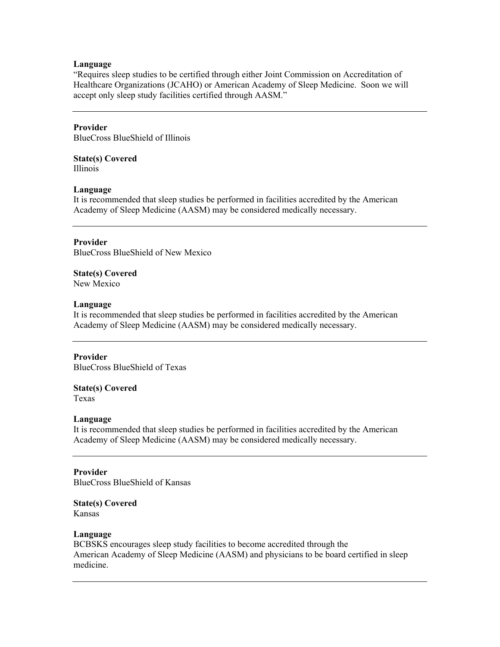#### **Language**

"Requires sleep studies to be certified through either Joint Commission on Accreditation of Healthcare Organizations (JCAHO) or American Academy of Sleep Medicine. Soon we will accept only sleep study facilities certified through AASM."

#### **Provider**

BlueCross BlueShield of Illinois

# **State(s) Covered**

Illinois

#### **Language**

It is recommended that sleep studies be performed in facilities accredited by the American Academy of Sleep Medicine (AASM) may be considered medically necessary.

## **Provider**

BlueCross BlueShield of New Mexico

#### **State(s) Covered**  New Mexico

#### **Language**

It is recommended that sleep studies be performed in facilities accredited by the American Academy of Sleep Medicine (AASM) may be considered medically necessary.

## **Provider**

BlueCross BlueShield of Texas

## **State(s) Covered**

Texas

#### **Language**

It is recommended that sleep studies be performed in facilities accredited by the American Academy of Sleep Medicine (AASM) may be considered medically necessary.

## **Provider**

BlueCross BlueShield of Kansas

**State(s) Covered**  Kansas

#### **Language**

BCBSKS encourages sleep study facilities to become accredited through the American Academy of Sleep Medicine (AASM) and physicians to be board certified in sleep medicine.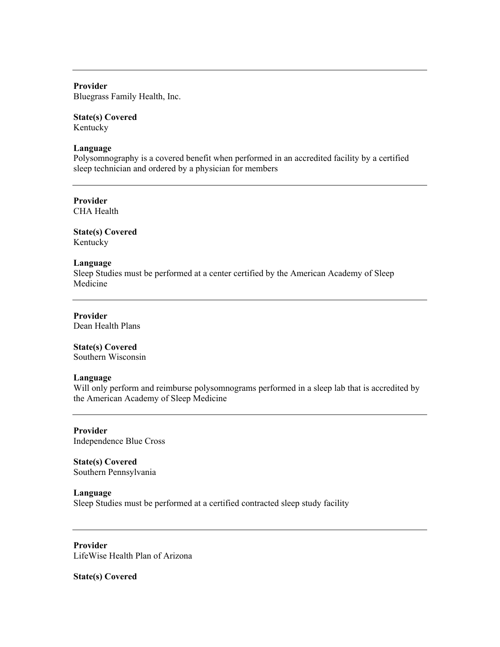**Provider**  Bluegrass Family Health, Inc.

# **State(s) Covered**

Kentucky

## **Language**

Polysomnography is a covered benefit when performed in an accredited facility by a certified sleep technician and ordered by a physician for members

**Provider**  CHA Health

**State(s) Covered**  Kentucky

# **Language**

Sleep Studies must be performed at a center certified by the American Academy of Sleep Medicine

**Provider**  Dean Health Plans

# **State(s) Covered**

Southern Wisconsin

## **Language**

Will only perform and reimburse polysomnograms performed in a sleep lab that is accredited by the American Academy of Sleep Medicine

**Provider**  Independence Blue Cross

**State(s) Covered**  Southern Pennsylvania

#### **Language**

Sleep Studies must be performed at a certified contracted sleep study facility

**Provider**  LifeWise Health Plan of Arizona

**State(s) Covered**